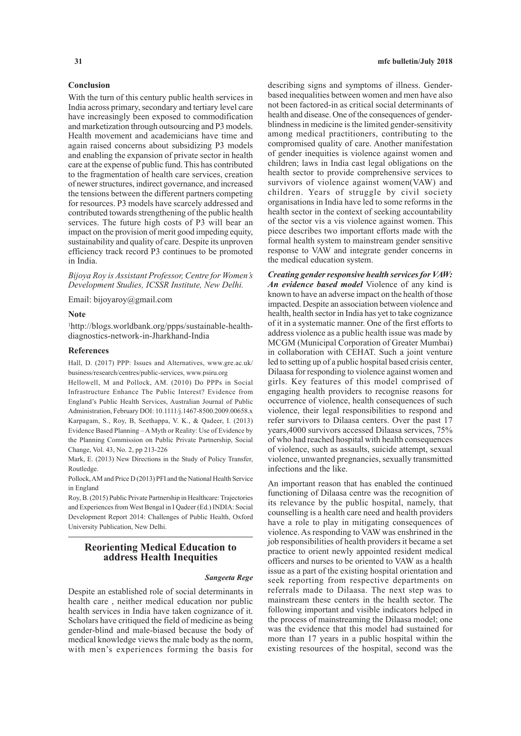# **Conclusion**

With the turn of this century public health services in India across primary, secondary and tertiary level care have increasingly been exposed to commodification and marketization through outsourcing and P3 models. Health movement and academicians have time and again raised concerns about subsidizing P3 models and enabling the expansion of private sector in health care at the expense of public fund. This has contributed to the fragmentation of health care services, creation of newer structures, indirect governance, and increased the tensions between the different partners competing for resources. P3 models have scarcely addressed and contributed towards strengthening of the public health services. The future high costs of P3 will bear an impact on the provision of merit good impeding equity, sustainability and quality of care. Despite its unproven efficiency track record P3 continues to be promoted in India.

*Bijoya Roy is Assistant Professor, Centre for Women's Development Studies, ICSSR Institute, New Delhi.*

Email: bijoyaroy@gmail.com

#### **Note**

1 http://blogs.worldbank.org/ppps/sustainable-healthdiagnostics-network-in-Jharkhand-India

### **References**

Hall, D. (2017) PPP: Issues and Alternatives, www.gre.ac.uk/ business/research/centres/public-services, www.psiru.org

Hellowell, M and Pollock, AM. (2010) Do PPPs in Social Infrastructure Enhance The Public Interest? Evidence from England's Public Health Services, Australian Journal of Public Administration, February DOI: 10.1111/j.1467-8500.2009.00658.x Karpagam, S., Roy, B, Seethappa, V. K., & Qadeer, I. (2013) Evidence Based Planning – A Myth or Reality: Use of Evidence by the Planning Commission on Public Private Partnership, Social Change, Vol. 43, No. 2, pp 213-226

Mark, E. (2013) New Directions in the Study of Policy Transfer, Routledge.

Pollock, AM and Price D (2013) PFI and the National Health Service in England

Roy, B. (2015) Public Private Partnership in Healthcare: Trajectories and Experiences from West Bengal in I Qadeer (Ed.) INDIA: Social Development Report 2014: Challenges of Public Health, Oxford University Publication, New Delhi.

# **Reorienting Medical Education to address Health Inequities**

#### *Sangeeta Rege*

Despite an established role of social determinants in health care , neither medical education nor public health services in India have taken cognizance of it. Scholars have critiqued the field of medicine as being gender-blind and male-biased because the body of medical knowledge views the male body as the norm, with men's experiences forming the basis for

describing signs and symptoms of illness. Genderbased inequalities between women and men have also not been factored-in as critical social determinants of health and disease. One of the consequences of genderblindness in medicine is the limited gender-sensitivity among medical practitioners, contributing to the compromised quality of care. Another manifestation of gender inequities is violence against women and children; laws in India cast legal obligations on the health sector to provide comprehensive services to survivors of violence against women(VAW) and children. Years of struggle by civil society organisations in India have led to some reforms in the health sector in the context of seeking accountability of the sector vis a vis violence against women. This piece describes two important efforts made with the formal health system to mainstream gender sensitive response to VAW and integrate gender concerns in the medical education system.

*Creating gender responsive health services for VAW: An evidence based model* Violence of any kind is known to have an adverse impact on the health of those impacted. Despite an association between violence and health, health sector in India has yet to take cognizance of it in a systematic manner. One of the first efforts to address violence as a public health issue was made by MCGM (Municipal Corporation of Greater Mumbai) in collaboration with CEHAT. Such a joint venture led to setting up of a public hospital based crisis center, Dilaasa for responding to violence against women and girls. Key features of this model comprised of engaging health providers to recognise reasons for occurrence of violence, health consequences of such violence, their legal responsibilities to respond and refer survivors to Dilaasa centers. Over the past 17 years,4000 survivors accessed Dilaasa services, 75% of who had reached hospital with health consequences of violence, such as assaults, suicide attempt, sexual violence, unwanted pregnancies, sexually transmitted infections and the like.

An important reason that has enabled the continued functioning of Dilaasa centre was the recognition of its relevance by the public hospital, namely, that counselling is a health care need and health providers have a role to play in mitigating consequences of violence. As responding to VAW was enshrined in the job responsibilities of health providers it became a set practice to orient newly appointed resident medical officers and nurses to be oriented to VAW as a health issue as a part of the existing hospital orientation and seek reporting from respective departments on referrals made to Dilaasa. The next step was to mainstream these centers in the health sector. The following important and visible indicators helped in the process of mainstreaming the Dilaasa model; one was the evidence that this model had sustained for more than 17 years in a public hospital within the existing resources of the hospital, second was the